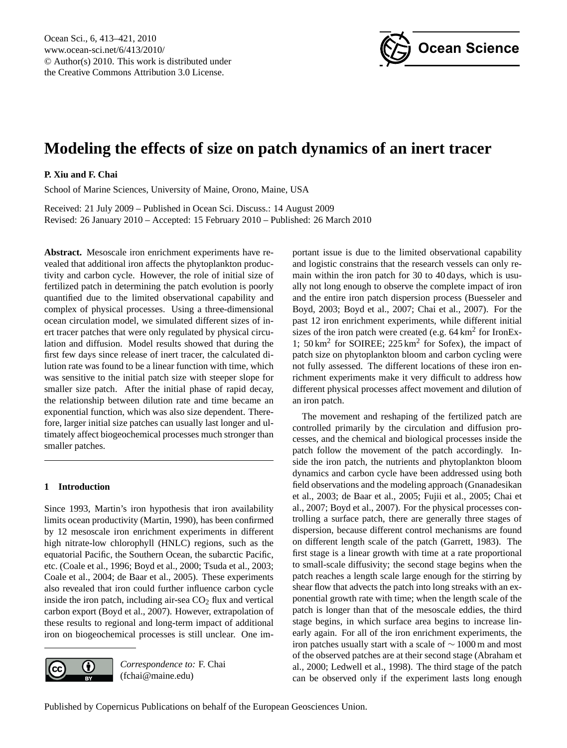

# <span id="page-0-0"></span>**Modeling the effects of size on patch dynamics of an inert tracer**

## **P. Xiu and F. Chai**

School of Marine Sciences, University of Maine, Orono, Maine, USA

Received: 21 July 2009 – Published in Ocean Sci. Discuss.: 14 August 2009 Revised: 26 January 2010 – Accepted: 15 February 2010 – Published: 26 March 2010

**Abstract.** Mesoscale iron enrichment experiments have revealed that additional iron affects the phytoplankton productivity and carbon cycle. However, the role of initial size of fertilized patch in determining the patch evolution is poorly quantified due to the limited observational capability and complex of physical processes. Using a three-dimensional ocean circulation model, we simulated different sizes of inert tracer patches that were only regulated by physical circulation and diffusion. Model results showed that during the first few days since release of inert tracer, the calculated dilution rate was found to be a linear function with time, which was sensitive to the initial patch size with steeper slope for smaller size patch. After the initial phase of rapid decay, the relationship between dilution rate and time became an exponential function, which was also size dependent. Therefore, larger initial size patches can usually last longer and ultimately affect biogeochemical processes much stronger than smaller patches.

### **1 Introduction**

Since 1993, Martin's iron hypothesis that iron availability limits ocean productivity (Martin, 1990), has been confirmed by 12 mesoscale iron enrichment experiments in different high nitrate-low chlorophyll (HNLC) regions, such as the equatorial Pacific, the Southern Ocean, the subarctic Pacific, etc. (Coale et al., 1996; Boyd et al., 2000; Tsuda et al., 2003; Coale et al., 2004; de Baar et al., 2005). These experiments also revealed that iron could further influence carbon cycle inside the iron patch, including air-sea  $CO<sub>2</sub>$  flux and vertical carbon export (Boyd et al., 2007). However, extrapolation of these results to regional and long-term impact of additional iron on biogeochemical processes is still unclear. One im-



*Correspondence to:* F. Chai (fchai@maine.edu)

portant issue is due to the limited observational capability and logistic constrains that the research vessels can only remain within the iron patch for 30 to 40 days, which is usually not long enough to observe the complete impact of iron and the entire iron patch dispersion process (Buesseler and Boyd, 2003; Boyd et al., 2007; Chai et al., 2007). For the past 12 iron enrichment experiments, while different initial sizes of the iron patch were created (e.g.  $64 \text{ km}^2$  for IronEx-1; 50 km<sup>2</sup> for SOIREE; 225 km<sup>2</sup> for Sofex), the impact of patch size on phytoplankton bloom and carbon cycling were not fully assessed. The different locations of these iron enrichment experiments make it very difficult to address how different physical processes affect movement and dilution of an iron patch.

The movement and reshaping of the fertilized patch are controlled primarily by the circulation and diffusion processes, and the chemical and biological processes inside the patch follow the movement of the patch accordingly. Inside the iron patch, the nutrients and phytoplankton bloom dynamics and carbon cycle have been addressed using both field observations and the modeling approach (Gnanadesikan et al., 2003; de Baar et al., 2005; Fujii et al., 2005; Chai et al., 2007; Boyd et al., 2007). For the physical processes controlling a surface patch, there are generally three stages of dispersion, because different control mechanisms are found on different length scale of the patch (Garrett, 1983). The first stage is a linear growth with time at a rate proportional to small-scale diffusivity; the second stage begins when the patch reaches a length scale large enough for the stirring by shear flow that advects the patch into long streaks with an exponential growth rate with time; when the length scale of the patch is longer than that of the mesoscale eddies, the third stage begins, in which surface area begins to increase linearly again. For all of the iron enrichment experiments, the iron patches usually start with a scale of ∼ 1000 m and most of the observed patches are at their second stage (Abraham et al., 2000; Ledwell et al., 1998). The third stage of the patch can be observed only if the experiment lasts long enough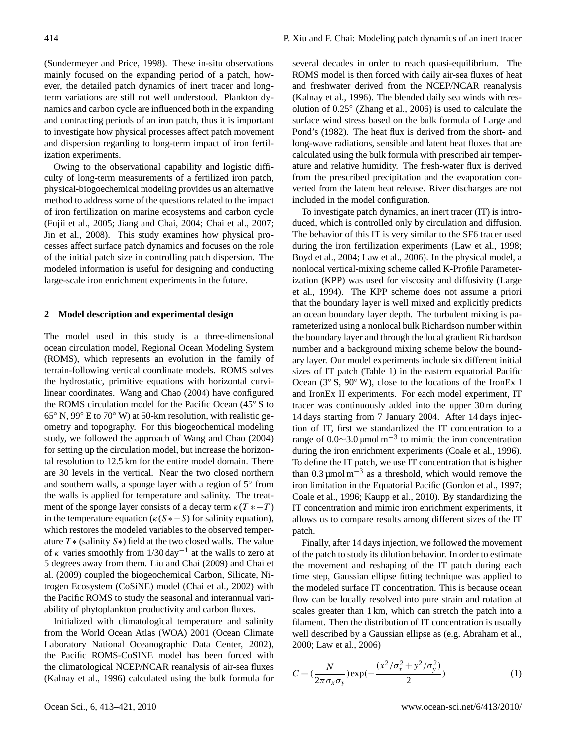(Sundermeyer and Price, 1998). These in-situ observations mainly focused on the expanding period of a patch, however, the detailed patch dynamics of inert tracer and longterm variations are still not well understood. Plankton dynamics and carbon cycle are influenced both in the expanding and contracting periods of an iron patch, thus it is important to investigate how physical processes affect patch movement and dispersion regarding to long-term impact of iron fertilization experiments.

Owing to the observational capability and logistic difficulty of long-term measurements of a fertilized iron patch, physical-biogoechemical modeling provides us an alternative method to address some of the questions related to the impact of iron fertilization on marine ecosystems and carbon cycle (Fujii et al., 2005; Jiang and Chai, 2004; Chai et al., 2007; Jin et al., 2008). This study examines how physical processes affect surface patch dynamics and focuses on the role of the initial patch size in controlling patch dispersion. The modeled information is useful for designing and conducting large-scale iron enrichment experiments in the future.

#### **2 Model description and experimental design**

The model used in this study is a three-dimensional ocean circulation model, Regional Ocean Modeling System (ROMS), which represents an evolution in the family of terrain-following vertical coordinate models. ROMS solves the hydrostatic, primitive equations with horizontal curvilinear coordinates. Wang and Chao (2004) have configured the ROMS circulation model for the Pacific Ocean (45◦ S to  $65^{\circ}$  N, 99 $^{\circ}$  E to 70 $^{\circ}$  W) at 50-km resolution, with realistic geometry and topography. For this biogeochemical modeling study, we followed the approach of Wang and Chao (2004) for setting up the circulation model, but increase the horizontal resolution to 12.5 km for the entire model domain. There are 30 levels in the vertical. Near the two closed northern and southern walls, a sponge layer with a region of 5° from the walls is applied for temperature and salinity. The treatment of the sponge layer consists of a decay term  $\kappa(T^* - T)$ in the temperature equation  $(\kappa(S * - S)$  for salinity equation), which restores the modeled variables to the observed temperature  $T$  \* (salinity S \*) field at the two closed walls. The value of  $\kappa$  varies smoothly from 1/30 day<sup>-1</sup> at the walls to zero at 5 degrees away from them. Liu and Chai (2009) and Chai et al. (2009) coupled the biogeochemical Carbon, Silicate, Nitrogen Ecosystem (CoSiNE) model (Chai et al., 2002) with the Pacific ROMS to study the seasonal and interannual variability of phytoplankton productivity and carbon fluxes.

Initialized with climatological temperature and salinity from the World Ocean Atlas (WOA) 2001 (Ocean Climate Laboratory National Oceanographic Data Center, 2002), the Pacific ROMS-CoSINE model has been forced with the climatological NCEP/NCAR reanalysis of air-sea fluxes (Kalnay et al., 1996) calculated using the bulk formula for

several decades in order to reach quasi-equilibrium. The ROMS model is then forced with daily air-sea fluxes of heat and freshwater derived from the NCEP/NCAR reanalysis (Kalnay et al., 1996). The blended daily sea winds with resolution of 0.25◦ (Zhang et al., 2006) is used to calculate the surface wind stress based on the bulk formula of Large and Pond's (1982). The heat flux is derived from the short- and long-wave radiations, sensible and latent heat fluxes that are calculated using the bulk formula with prescribed air temperature and relative humidity. The fresh-water flux is derived from the prescribed precipitation and the evaporation converted from the latent heat release. River discharges are not included in the model configuration.

To investigate patch dynamics, an inert tracer (IT) is introduced, which is controlled only by circulation and diffusion. The behavior of this IT is very similar to the SF6 tracer used during the iron fertilization experiments (Law et al., 1998; Boyd et al., 2004; Law et al., 2006). In the physical model, a nonlocal vertical-mixing scheme called K-Profile Parameterization (KPP) was used for viscosity and diffusivity (Large et al., 1994). The KPP scheme does not assume a priori that the boundary layer is well mixed and explicitly predicts an ocean boundary layer depth. The turbulent mixing is parameterized using a nonlocal bulk Richardson number within the boundary layer and through the local gradient Richardson number and a background mixing scheme below the boundary layer. Our model experiments include six different initial sizes of IT patch (Table 1) in the eastern equatorial Pacific Ocean (3◦ S, 90◦ W), close to the locations of the IronEx I and IronEx II experiments. For each model experiment, IT tracer was continuously added into the upper 30 m during 14 days starting from 7 January 2004. After 14 days injection of IT, first we standardized the IT concentration to a range of 0.0∼3.0 μmol m<sup>-3</sup> to mimic the iron concentration during the iron enrichment experiments (Coale et al., 1996). To define the IT patch, we use IT concentration that is higher than  $0.3 \mu$ mol m<sup>-3</sup> as a threshold, which would remove the iron limitation in the Equatorial Pacific (Gordon et al., 1997; Coale et al., 1996; Kaupp et al., 2010). By standardizing the IT concentration and mimic iron enrichment experiments, it allows us to compare results among different sizes of the IT patch.

Finally, after 14 days injection, we followed the movement of the patch to study its dilution behavior. In order to estimate the movement and reshaping of the IT patch during each time step, Gaussian ellipse fitting technique was applied to the modeled surface IT concentration. This is because ocean flow can be locally resolved into pure strain and rotation at scales greater than 1 km, which can stretch the patch into a filament. Then the distribution of IT concentration is usually well described by a Gaussian ellipse as (e.g. Abraham et al., 2000; Law et al., 2006)

$$
C = (\frac{N}{2\pi\sigma_x\sigma_y}) \exp(-\frac{(x^2/\sigma_x^2 + y^2/\sigma_y^2)}{2})
$$
 (1)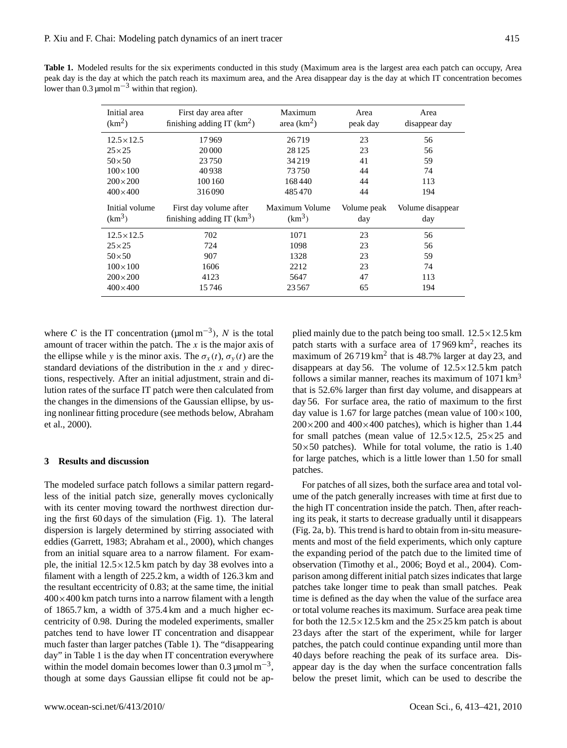**Table 1.** Modeled results for the six experiments conducted in this study (Maximum area is the largest area each patch can occupy, Area peak day is the day at which the patch reach its maximum area, and the Area disappear day is the day at which IT concentration becomes lower than 0.3  $\mu$ mol m<sup>-3</sup> within that region).

| Initial area<br>(km <sup>2</sup> ) | First day area after<br>finishing adding IT $(km^2)$ | Maximum<br>area $(km^2)$ | Area<br>peak day | Area<br>disappear day |
|------------------------------------|------------------------------------------------------|--------------------------|------------------|-----------------------|
| $12.5 \times 12.5$                 | 17969                                                | 26719                    | 23               | 56                    |
| $25 \times 25$                     | 20 000                                               | 28 1 25                  | 23               | 56                    |
| $50\times50$                       | 23750                                                | 34 219                   | 41               | 59                    |
| $100 \times 100$                   | 40938                                                | 73750                    | 44               | 74                    |
| $200\times200$                     | 100 160                                              | 168440                   | 44               | 113                   |
| $400\times400$                     | 316090                                               | 485470                   | 44               | 194                   |
|                                    |                                                      |                          |                  |                       |
| Initial volume                     | First day volume after                               | Maximum Volume           | Volume peak      | Volume disappear      |
| (km <sup>3</sup> )                 | finishing adding IT $(km3)$                          | $(km^3)$                 | day              | day                   |
| $12.5 \times 12.5$                 | 702                                                  | 1071                     | 23               | 56                    |
| $25\times25$                       | 724                                                  | 1098                     | 23               | 56                    |
| $50\times50$                       | 907                                                  | 1328                     | 23               | 59                    |
| $100\times100$                     | 1606                                                 | 2212                     | 23               | 74                    |
| $200\times200$                     | 4123                                                 | 5647                     | 47               | 113                   |

where C is the IT concentration ( $\mu$ mol m<sup>-3</sup>), N is the total amount of tracer within the patch. The  $x$  is the major axis of the ellipse while y is the minor axis. The  $\sigma_x(t)$ ,  $\sigma_y(t)$  are the standard deviations of the distribution in the  $x$  and  $y$  directions, respectively. After an initial adjustment, strain and dilution rates of the surface IT patch were then calculated from the changes in the dimensions of the Gaussian ellipse, by using nonlinear fitting procedure (see methods below, Abraham et al., 2000).

#### **3 Results and discussion**

The modeled surface patch follows a similar pattern regardless of the initial patch size, generally moves cyclonically with its center moving toward the northwest direction during the first 60 days of the simulation (Fig. 1). The lateral dispersion is largely determined by stirring associated with eddies (Garrett, 1983; Abraham et al., 2000), which changes from an initial square area to a narrow filament. For example, the initial  $12.5 \times 12.5$  km patch by day 38 evolves into a filament with a length of 225.2 km, a width of 126.3 km and the resultant eccentricity of 0.83; at the same time, the initial  $400\times400$  km patch turns into a narrow filament with a length of 1865.7 km, a width of 375.4 km and a much higher eccentricity of 0.98. During the modeled experiments, smaller patches tend to have lower IT concentration and disappear much faster than larger patches (Table 1). The "disappearing day" in Table 1 is the day when IT concentration everywhere within the model domain becomes lower than  $0.3 \mu$ mol m<sup>-3</sup>, though at some days Gaussian ellipse fit could not be applied mainly due to the patch being too small.  $12.5 \times 12.5$  km patch starts with a surface area of  $17969 \text{ km}^2$ , reaches its maximum of  $26719 \text{ km}^2$  that is 48.7% larger at day 23, and disappears at day 56. The volume of  $12.5 \times 12.5$  km patch follows a similar manner, reaches its maximum of  $1071 \text{ km}^3$ that is 52.6% larger than first day volume, and disappears at day 56. For surface area, the ratio of maximum to the first day value is 1.67 for large patches (mean value of  $100 \times 100$ ,  $200\times200$  and  $400\times400$  patches), which is higher than 1.44 for small patches (mean value of  $12.5 \times 12.5$ ,  $25 \times 25$  and  $50\times50$  patches). While for total volume, the ratio is 1.40 for large patches, which is a little lower than 1.50 for small patches.

For patches of all sizes, both the surface area and total volume of the patch generally increases with time at first due to the high IT concentration inside the patch. Then, after reaching its peak, it starts to decrease gradually until it disappears (Fig. 2a, b). This trend is hard to obtain from in-situ measurements and most of the field experiments, which only capture the expanding period of the patch due to the limited time of observation (Timothy et al., 2006; Boyd et al., 2004). Comparison among different initial patch sizes indicates that large patches take longer time to peak than small patches. Peak time is defined as the day when the value of the surface area or total volume reaches its maximum. Surface area peak time for both the  $12.5 \times 12.5$  km and the  $25 \times 25$  km patch is about 23 days after the start of the experiment, while for larger patches, the patch could continue expanding until more than 40 days before reaching the peak of its surface area. Disappear day is the day when the surface concentration falls below the preset limit, which can be used to describe the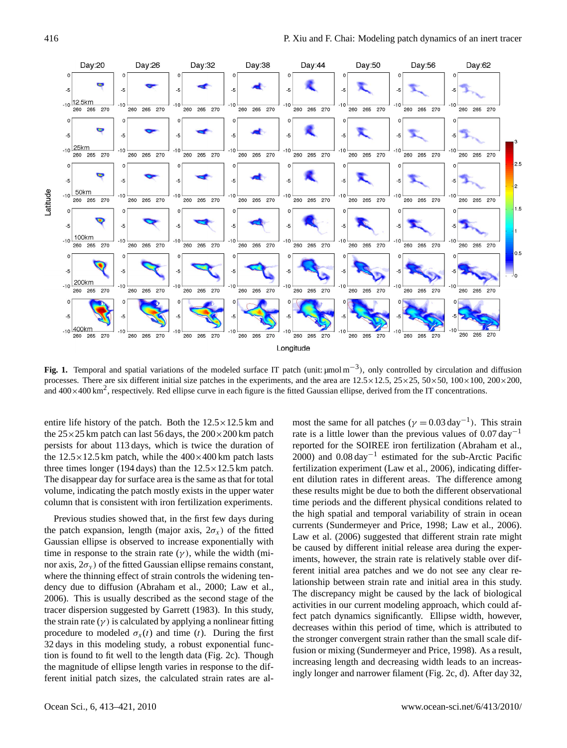

Fig. 1. Temporal and spatial variations of the modeled surface IT patch (unit: µmol m<sup>-3</sup>), only controlled by circulation and diffusion processes. There are six different initial size patches in the experiments, and the area are  $12.5 \times 12.5$ ,  $25 \times 25$ ,  $50 \times 50$ ,  $100 \times 100$ ,  $200 \times 200$ , and  $400\times400$  km<sup>2</sup>, respectively. Red ellipse curve in each figure is the fitted Gaussian ellipse, derived from the IT concentrations.

entire life history of the patch. Both the  $12.5 \times 12.5$  km and the  $25 \times 25$  km patch can last 56 days, the  $200 \times 200$  km patch persists for about 113 days, which is twice the duration of the  $12.5 \times 12.5$  km patch, while the  $400 \times 400$  km patch lasts three times longer (194 days) than the  $12.5 \times 12.5$  km patch. The disappear day for surface area is the same as that for total volume, indicating the patch mostly exists in the upper water column that is consistent with iron fertilization experiments.

Previous studies showed that, in the first few days during the patch expansion, length (major axis,  $2\sigma_x$ ) of the fitted Gaussian ellipse is observed to increase exponentially with time in response to the strain rate  $(\gamma)$ , while the width (minor axis,  $2\sigma_y$  of the fitted Gaussian ellipse remains constant, where the thinning effect of strain controls the widening tendency due to diffusion (Abraham et al., 2000; Law et al., 2006). This is usually described as the second stage of the tracer dispersion suggested by Garrett (1983). In this study, the strain rate  $(\gamma)$  is calculated by applying a nonlinear fitting procedure to modeled  $\sigma_x(t)$  and time (t). During the first 32 days in this modeling study, a robust exponential function is found to fit well to the length data (Fig. 2c). Though the magnitude of ellipse length varies in response to the different initial patch sizes, the calculated strain rates are al-

most the same for all patches ( $\gamma = 0.03 \text{ day}^{-1}$ ). This strain rate is a little lower than the previous values of  $0.07 \text{ day}^{-1}$ reported for the SOIREE iron fertilization (Abraham et al., 2000) and 0.08 day<sup>-1</sup> estimated for the sub-Arctic Pacific fertilization experiment (Law et al., 2006), indicating different dilution rates in different areas. The difference among these results might be due to both the different observational time periods and the different physical conditions related to the high spatial and temporal variability of strain in ocean currents (Sundermeyer and Price, 1998; Law et al., 2006). Law et al. (2006) suggested that different strain rate might be caused by different initial release area during the experiments, however, the strain rate is relatively stable over different initial area patches and we do not see any clear relationship between strain rate and initial area in this study. The discrepancy might be caused by the lack of biological activities in our current modeling approach, which could affect patch dynamics significantly. Ellipse width, however, decreases within this period of time, which is attributed to the stronger convergent strain rather than the small scale diffusion or mixing (Sundermeyer and Price, 1998). As a result, increasing length and decreasing width leads to an increasingly longer and narrower filament (Fig. 2c, d). After day 32,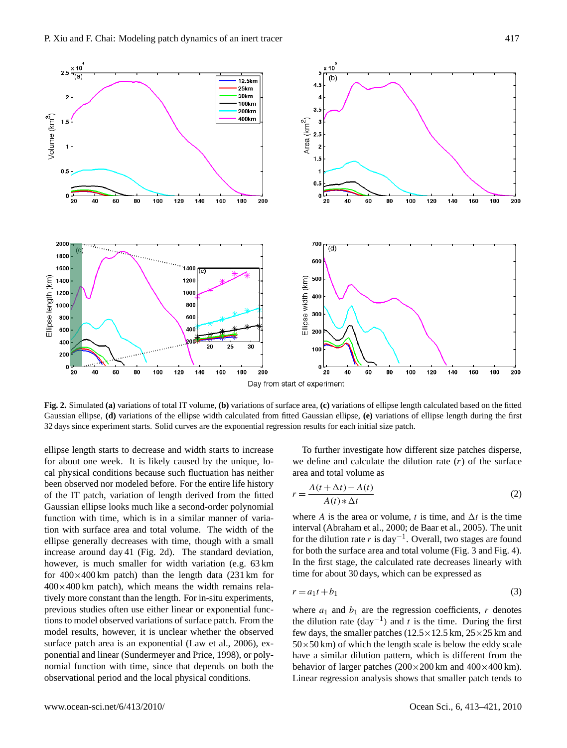

**Fig. 2.** Simulated **(a)** variations of total IT volume, **(b)** variations of surface area, **(c)** variations of ellipse length calculated based on the fitted Gaussian ellipse, **(d)** variations of the ellipse width calculated from fitted Gaussian ellipse, **(e)** variations of ellipse length during the first 32 days since experiment starts. Solid curves are the exponential regression results for each initial size patch.

ellipse length starts to decrease and width starts to increase for about one week. It is likely caused by the unique, local physical conditions because such fluctuation has neither been observed nor modeled before. For the entire life history of the IT patch, variation of length derived from the fitted Gaussian ellipse looks much like a second-order polynomial function with time, which is in a similar manner of variation with surface area and total volume. The width of the ellipse generally decreases with time, though with a small increase around day 41 (Fig. 2d). The standard deviation, however, is much smaller for width variation (e.g. 63 km for  $400\times400$  km patch) than the length data (231 km for  $400\times400$  km patch), which means the width remains relatively more constant than the length. For in-situ experiments, previous studies often use either linear or exponential functions to model observed variations of surface patch. From the model results, however, it is unclear whether the observed surface patch area is an exponential (Law et al., 2006), exponential and linear (Sundermeyer and Price, 1998), or polynomial function with time, since that depends on both the observational period and the local physical conditions.

To further investigate how different size patches disperse, we define and calculate the dilution rate  $(r)$  of the surface area and total volume as

$$
r = \frac{A(t + \Delta t) - A(t)}{A(t) * \Delta t}
$$
 (2)

where A is the area or volume, t is time, and  $\Delta t$  is the time interval (Abraham et al., 2000; de Baar et al., 2005). The unit for the dilution rate r is day<sup>-1</sup>. Overall, two stages are found for both the surface area and total volume (Fig. 3 and Fig. 4). In the first stage, the calculated rate decreases linearly with time for about 30 days, which can be expressed as

$$
r = a_1 t + b_1 \tag{3}
$$

where  $a_1$  and  $b_1$  are the regression coefficients, r denotes the dilution rate  $(\text{day}^{-1})$  and t is the time. During the first few days, the smaller patches  $(12.5 \times 12.5 \text{ km}, 25 \times 25 \text{ km}$  and  $50\times50$  km) of which the length scale is below the eddy scale have a similar dilution pattern, which is different from the behavior of larger patches  $(200 \times 200 \text{ km})$  and  $400 \times 400 \text{ km}$ ). Linear regression analysis shows that smaller patch tends to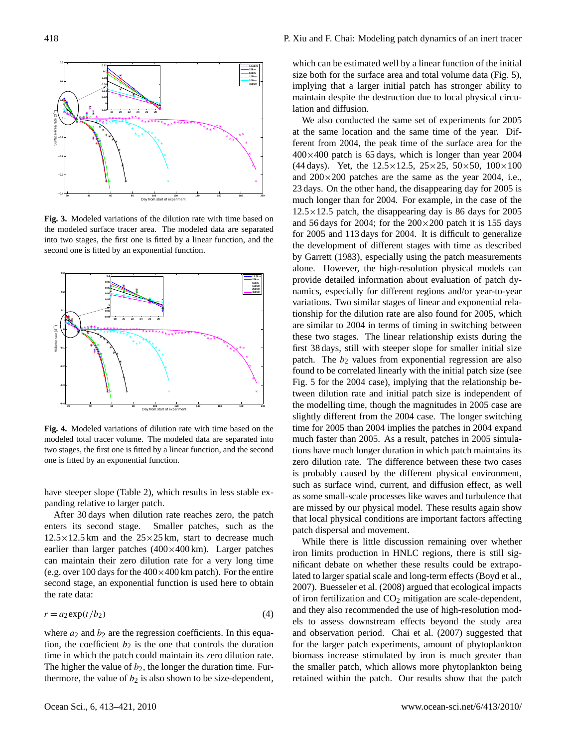

**Fig. 3.** Modeled variations of the dilution rate with time based on the modeled surface tracer area. The modeled data are separated into two stages, the first one is fitted by a linear function, and the second one is fitted by an exponential function.



**Fig. 4.** Modeled variations of dilution rate with time based on the modeled total tracer volume. The modeled data are separated into two stages, the first one is fitted by a linear function, and the second one is fitted by an exponential function.

have steeper slope (Table 2), which results in less stable expanding relative to larger patch.

After 30 days when dilution rate reaches zero, the patch enters its second stage. Smaller patches, such as the  $12.5 \times 12.5$  km and the  $25 \times 25$  km, start to decrease much earlier than larger patches (400×400 km). Larger patches can maintain their zero dilution rate for a very long time (e.g. over 100 days for the  $400 \times 400$  km patch). For the entire second stage, an exponential function is used here to obtain the rate data:

$$
r = a_2 \exp(t/b_2) \tag{4}
$$

where  $a_2$  and  $b_2$  are the regression coefficients. In this equation, the coefficient  $b_2$  is the one that controls the duration time in which the patch could maintain its zero dilution rate. The higher the value of  $b_2$ , the longer the duration time. Furthermore, the value of  $b_2$  is also shown to be size-dependent,

which can be estimated well by a linear function of the initial size both for the surface area and total volume data (Fig. 5), implying that a larger initial patch has stronger ability to maintain despite the destruction due to local physical circulation and diffusion.

We also conducted the same set of experiments for 2005 at the same location and the same time of the year. Different from 2004, the peak time of the surface area for the  $400\times400$  patch is 65 days, which is longer than year 2004 (44 days). Yet, the  $12.5 \times 12.5$ ,  $25 \times 25$ ,  $50 \times 50$ ,  $100 \times 100$ and  $200\times200$  patches are the same as the year 2004, i.e., 23 days. On the other hand, the disappearing day for 2005 is much longer than for 2004. For example, in the case of the  $12.5 \times 12.5$  patch, the disappearing day is 86 days for 2005 and 56 days for 2004; for the  $200 \times 200$  patch it is 155 days for 2005 and 113 days for 2004. It is difficult to generalize the development of different stages with time as described by Garrett (1983), especially using the patch measurements alone. However, the high-resolution physical models can provide detailed information about evaluation of patch dynamics, especially for different regions and/or year-to-year variations. Two similar stages of linear and exponential relationship for the dilution rate are also found for 2005, which are similar to 2004 in terms of timing in switching between these two stages. The linear relationship exists during the first 38 days, still with steeper slope for smaller initial size patch. The  $b_2$  values from exponential regression are also found to be correlated linearly with the initial patch size (see Fig. 5 for the 2004 case), implying that the relationship between dilution rate and initial patch size is independent of the modelling time, though the magnitudes in 2005 case are slightly different from the 2004 case. The longer switching time for 2005 than 2004 implies the patches in 2004 expand much faster than 2005. As a result, patches in 2005 simulations have much longer duration in which patch maintains its zero dilution rate. The difference between these two cases is probably caused by the different physical environment, such as surface wind, current, and diffusion effect, as well as some small-scale processes like waves and turbulence that are missed by our physical model. These results again show that local physical conditions are important factors affecting patch dispersal and movement.

While there is little discussion remaining over whether iron limits production in HNLC regions, there is still significant debate on whether these results could be extrapolated to larger spatial scale and long-term effects (Boyd et al., 2007). Buesseler et al. (2008) argued that ecological impacts of iron fertilization and  $CO<sub>2</sub>$  mitigation are scale-dependent, and they also recommended the use of high-resolution models to assess downstream effects beyond the study area and observation period. Chai et al. (2007) suggested that for the larger patch experiments, amount of phytoplankton biomass increase stimulated by iron is much greater than the smaller patch, which allows more phytoplankton being retained within the patch. Our results show that the patch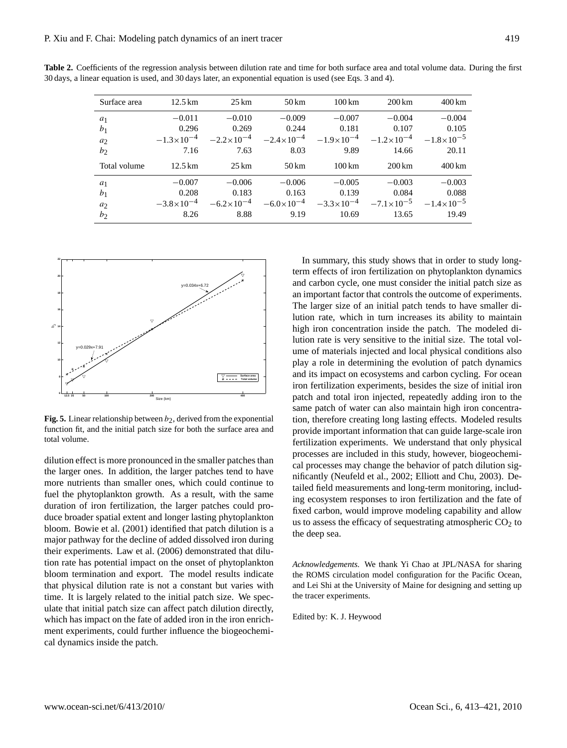| Surface area   | $12.5 \,\mathrm{km}$ | $25 \,\mathrm{km}$    | $50 \mathrm{km}$      | $100 \mathrm{km}$     | 200 km                | $400 \mathrm{km}$     |
|----------------|----------------------|-----------------------|-----------------------|-----------------------|-----------------------|-----------------------|
| $a_1$          | $-0.011$             | $-0.010$              | $-0.009$              | $-0.007$              | $-0.004$              | $-0.004$              |
| b <sub>1</sub> | 0.296                | 0.269                 | 0.244                 | 0.181                 | 0.107                 | 0.105                 |
| a <sub>2</sub> | $-1.3\times10^{-4}$  | $-2.2 \times 10^{-4}$ | $-2.4 \times 10^{-4}$ | $-1.9 \times 10^{-4}$ | $-1.2\times10^{-4}$   | $-1.8\times10^{-5}$   |
| b <sub>2</sub> | 7.16                 | 7.63                  | 8.03                  | 9.89                  | 14.66                 | 20.11                 |
|                |                      |                       |                       |                       |                       |                       |
| Total volume   | $12.5 \,\mathrm{km}$ | $25 \,\mathrm{km}$    | $50 \mathrm{km}$      | $100 \,\mathrm{km}$   | $200 \mathrm{km}$     | $400 \mathrm{km}$     |
| $a_1$          | $-0.007$             | $-0.006$              | $-0.006$              | $-0.005$              | $-0.003$              | $-0.003$              |
| b <sub>1</sub> | 0.208                | 0.183                 | 0.163                 | 0.139                 | 0.084                 | 0.088                 |
| $a_2$          | $-3.8\times10^{-4}$  | $-6.2 \times 10^{-4}$ | $-6.0\times10^{-4}$   | $-3.3 \times 10^{-4}$ | $-7.1 \times 10^{-5}$ | $-1.4 \times 10^{-5}$ |

**Table 2.** Coefficients of the regression analysis between dilution rate and time for both surface area and total volume data. During the first 30 days, a linear equation is used, and 30 days later, an exponential equation is used (see Eqs. 3 and 4).



**Fig. 5.** Linear relationship between  $b_2$ , derived from the exponential function fit, and the initial patch size for both the surface area and total volume.

dilution effect is more pronounced in the smaller patches than the larger ones. In addition, the larger patches tend to have more nutrients than smaller ones, which could continue to fuel the phytoplankton growth. As a result, with the same duration of iron fertilization, the larger patches could produce broader spatial extent and longer lasting phytoplankton bloom. Bowie et al. (2001) identified that patch dilution is a major pathway for the decline of added dissolved iron during their experiments. Law et al. (2006) demonstrated that dilution rate has potential impact on the onset of phytoplankton bloom termination and export. The model results indicate that physical dilution rate is not a constant but varies with time. It is largely related to the initial patch size. We speculate that initial patch size can affect patch dilution directly, which has impact on the fate of added iron in the iron enrichment experiments, could further influence the biogeochemical dynamics inside the patch.

In summary, this study shows that in order to study longterm effects of iron fertilization on phytoplankton dynamics and carbon cycle, one must consider the initial patch size as an important factor that controls the outcome of experiments. The larger size of an initial patch tends to have smaller dilution rate, which in turn increases its ability to maintain high iron concentration inside the patch. The modeled dilution rate is very sensitive to the initial size. The total volume of materials injected and local physical conditions also play a role in determining the evolution of patch dynamics and its impact on ecosystems and carbon cycling. For ocean iron fertilization experiments, besides the size of initial iron patch and total iron injected, repeatedly adding iron to the same patch of water can also maintain high iron concentration, therefore creating long lasting effects. Modeled results provide important information that can guide large-scale iron fertilization experiments. We understand that only physical processes are included in this study, however, biogeochemical processes may change the behavior of patch dilution significantly (Neufeld et al., 2002; Elliott and Chu, 2003). Detailed field measurements and long-term monitoring, including ecosystem responses to iron fertilization and the fate of fixed carbon, would improve modeling capability and allow us to assess the efficacy of sequestrating atmospheric  $CO<sub>2</sub>$  to the deep sea.

*Acknowledgements.* We thank Yi Chao at JPL/NASA for sharing the ROMS circulation model configuration for the Pacific Ocean, and Lei Shi at the University of Maine for designing and setting up the tracer experiments.

Edited by: K. J. Heywood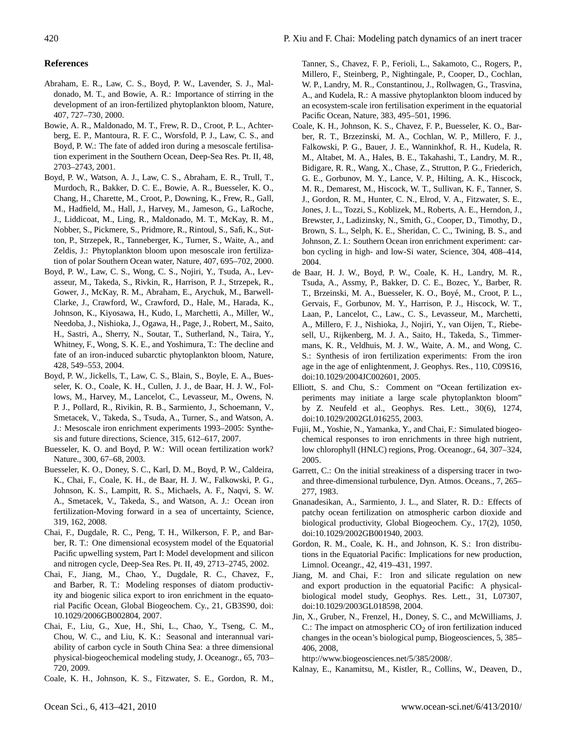#### **References**

- Abraham, E. R., Law, C. S., Boyd, P. W., Lavender, S. J., Maldonado, M. T., and Bowie, A. R.: Importance of stirring in the development of an iron-fertilized phytoplankton bloom, Nature, 407, 727–730, 2000.
- Bowie, A. R., Maldonado, M. T., Frew, R. D., Croot, P. L., Achterberg, E. P., Mantoura, R. F. C., Worsfold, P. J., Law, C. S., and Boyd, P. W.: The fate of added iron during a mesoscale fertilisation experiment in the Southern Ocean, Deep-Sea Res. Pt. II, 48, 2703–2743, 2001.
- Boyd, P. W., Watson, A. J., Law, C. S., Abraham, E. R., Trull, T., Murdoch, R., Bakker, D. C. E., Bowie, A. R., Buesseler, K. O., Chang, H., Charette, M., Croot, P., Downing, K., Frew, R., Gall, M., Hadfield, M., Hall, J., Harvey, M., Jameson, G., LaRoche, J., Liddicoat, M., Ling, R., Maldonado, M. T., McKay, R. M., Nobber, S., Pickmere, S., Pridmore, R., Rintoul, S., Safi, K., Sutton, P., Strzepek, R., Tanneberger, K., Turner, S., Waite, A., and Zeldis, J.: Phytoplankton bloom upon mesoscale iron fertilization of polar Southern Ocean water, Nature, 407, 695–702, 2000.
- Boyd, P. W., Law, C. S., Wong, C. S., Nojiri, Y., Tsuda, A., Levasseur, M., Takeda, S., Rivkin, R., Harrison, P. J., Strzepek, R., Gower, J., McKay, R. M., Abraham, E., Arychuk, M., Barwell-Clarke, J., Crawford, W., Crawford, D., Hale, M., Harada, K., Johnson, K., Kiyosawa, H., Kudo, I., Marchetti, A., Miller, W., Needoba, J., Nishioka, J., Ogawa, H., Page, J., Robert, M., Saito, H., Sastri, A., Sherry, N., Soutar, T., Sutherland, N., Taira, Y., Whitney, F., Wong, S. K. E., and Yoshimura, T.: The decline and fate of an iron-induced subarctic phytoplankton bloom, Nature, 428, 549–553, 2004.
- Boyd, P. W., Jickells, T., Law, C. S., Blain, S., Boyle, E. A., Buesseler, K. O., Coale, K. H., Cullen, J. J., de Baar, H. J. W., Follows, M., Harvey, M., Lancelot, C., Levasseur, M., Owens, N. P. J., Pollard, R., Rivikin, R. B., Sarmiento, J., Schoemann, V., Smetacek, V., Takeda, S., Tsuda, A., Turner, S., and Watson, A. J.: Mesoscale iron enrichment experiments 1993–2005: Synthesis and future directions, Science, 315, 612–617, 2007.
- Buesseler, K. O. and Boyd, P. W.: Will ocean fertilization work? Nature., 300, 67–68, 2003.
- Buesseler, K. O., Doney, S. C., Karl, D. M., Boyd, P. W., Caldeira, K., Chai, F., Coale, K. H., de Baar, H. J. W., Falkowski, P. G., Johnson, K. S., Lampitt, R. S., Michaels, A. F., Naqvi, S. W. A., Smetacek, V., Takeda, S., and Watson, A. J.: Ocean iron fertilization-Moving forward in a sea of uncertainty, Science, 319, 162, 2008.
- Chai, F., Dugdale, R. C., Peng, T. H., Wilkerson, F. P., and Barber, R. T.: One dimensional ecosystem model of the Equatorial Pacific upwelling system, Part I: Model development and silicon and nitrogen cycle, Deep-Sea Res. Pt. II, 49, 2713–2745, 2002.
- Chai, F., Jiang, M., Chao, Y., Dugdale, R. C., Chavez, F., and Barber, R. T.: Modeling responses of diatom productivity and biogenic silica export to iron enrichment in the equatorial Pacific Ocean, Global Biogeochem. Cy., 21, GB3S90, doi: 10.1029/2006GB002804, 2007.
- Chai, F., Liu, G., Xue, H., Shi, L., Chao, Y., Tseng, C. M., Chou, W. C., and Liu, K. K.: Seasonal and interannual variability of carbon cycle in South China Sea: a three dimensional physical-biogeochemical modeling study, J. Oceanogr., 65, 703– 720, 2009.
- Coale, K. H., Johnson, K. S., Fitzwater, S. E., Gordon, R. M.,

Tanner, S., Chavez, F. P., Ferioli, L., Sakamoto, C., Rogers, P., Millero, F., Steinberg, P., Nightingale, P., Cooper, D., Cochlan, W. P., Landry, M. R., Constantinou, J., Rollwagen, G., Trasvina, A., and Kudela, R.: A massive phytoplankton bloom induced by an ecosystem-scale iron fertilisation experiment in the equatorial Pacific Ocean, Nature, 383, 495–501, 1996.

- Coale, K. H., Johnson, K. S., Chavez, F. P., Buesseler, K. O., Barber, R. T., Brzezinski, M. A., Cochlan, W. P., Millero, F. J., Falkowski, P. G., Bauer, J. E., Wanninkhof, R. H., Kudela, R. M., Altabet, M. A., Hales, B. E., Takahashi, T., Landry, M. R., Bidigare, R. R., Wang, X., Chase, Z., Strutton, P. G., Friederich, G. E., Gorbunov, M. Y., Lance, V. P., Hilting, A. K., Hiscock, M. R., Demarest, M., Hiscock, W. T., Sullivan, K. F., Tanner, S. J., Gordon, R. M., Hunter, C. N., Elrod, V. A., Fitzwater, S. E., Jones, J. L., Tozzi, S., Koblizek, M., Roberts, A. E., Herndon, J., Brewster, J., Ladizinsky, N., Smith, G., Cooper, D., Timothy, D., Brown, S. L., Selph, K. E., Sheridan, C. C., Twining, B. S., and Johnson, Z. I.: Southern Ocean iron enrichment experiment: carbon cycling in high- and low-Si water, Science, 304, 408–414, 2004.
- de Baar, H. J. W., Boyd, P. W., Coale, K. H., Landry, M. R., Tsuda, A., Assmy, P., Bakker, D. C. E., Bozec, Y., Barber, R. T., Brzeinski, M. A., Buesseler, K. O., Boye, M., Croot, P. L., ´ Gervais, F., Gorbunov, M. Y., Harrison, P. J., Hiscock, W. T., Laan, P., Lancelot, C., Law., C. S., Levasseur, M., Marchetti, A., Millero, F. J., Nishioka, J., Nojiri, Y., van Oijen, T., Riebesell, U., Rijkenberg, M. J. A., Saito, H., Takeda, S., Timmermans, K. R., Veldhuis, M. J. W., Waite, A. M., and Wong, C. S.: Synthesis of iron fertilization experiments: From the iron age in the age of enlightenment, J. Geophys. Res., 110, C09S16, doi:10.1029/2004JC002601, 2005.
- Elliott, S. and Chu, S.: Comment on "Ocean fertilization experiments may initiate a large scale phytoplankton bloom" by Z. Neufeld et al., Geophys. Res. Lett., 30(6), 1274, doi:10.1029/2002GL016255, 2003.
- Fujii, M., Yoshie, N., Yamanka, Y., and Chai, F.: Simulated biogeochemical responses to iron enrichments in three high nutrient, low chlorophyll (HNLC) regions, Prog. Oceanogr., 64, 307–324, 2005.
- Garrett, C.: On the initial streakiness of a dispersing tracer in twoand three-dimensional turbulence, Dyn. Atmos. Oceans., 7, 265– 277, 1983.
- Gnanadesikan, A., Sarmiento, J. L., and Slater, R. D.: Effects of patchy ocean fertilization on atmospheric carbon dioxide and biological productivity, Global Biogeochem. Cy., 17(2), 1050, doi:10.1029/2002GB001940, 2003.
- Gordon, R. M., Coale, K. H., and Johnson, K. S.: Iron distributions in the Equatorial Pacific: Implications for new production, Limnol. Oceangr., 42, 419–431, 1997.
- Jiang, M. and Chai, F.: Iron and silicate regulation on new and export production in the equatorial Pacific: A physicalbiological model study, Geophys. Res. Lett., 31, L07307, doi:10.1029/2003GL018598, 2004.
- Jin, X., Gruber, N., Frenzel, H., Doney, S. C., and McWilliams, J. C.: The impact on atmospheric  $CO<sub>2</sub>$  of iron fertilization induced changes in the ocean's biological pump, Biogeosciences, 5, 385– 406, 2008,

[http://www.biogeosciences.net/5/385/2008/.](http://www.biogeosciences.net/5/385/2008/)

Kalnay, E., Kanamitsu, M., Kistler, R., Collins, W., Deaven, D.,